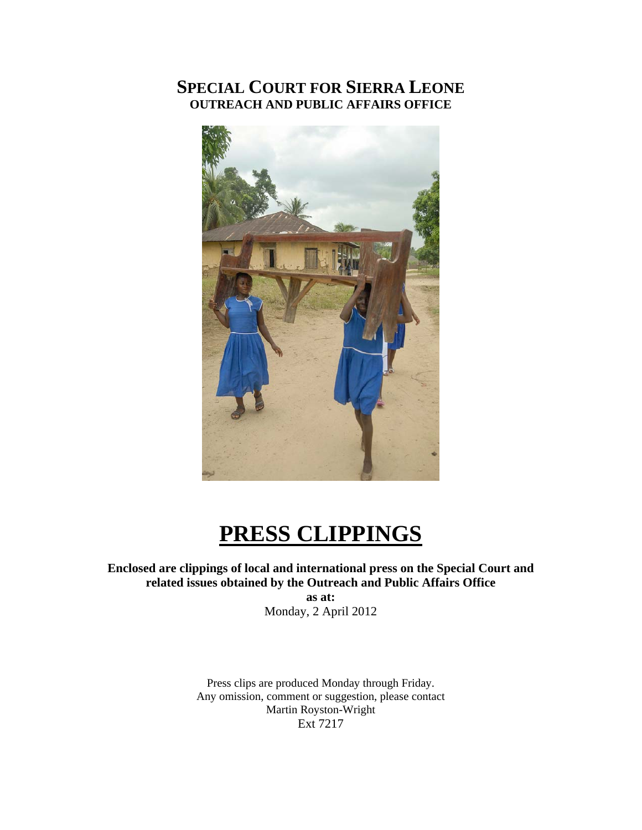## **SPECIAL COURT FOR SIERRA LEONE OUTREACH AND PUBLIC AFFAIRS OFFICE**



## **PRESS CLIPPINGS**

**Enclosed are clippings of local and international press on the Special Court and related issues obtained by the Outreach and Public Affairs Office** 

**as at:**  Monday, 2 April 2012

Press clips are produced Monday through Friday. Any omission, comment or suggestion, please contact Martin Royston-Wright Ext 7217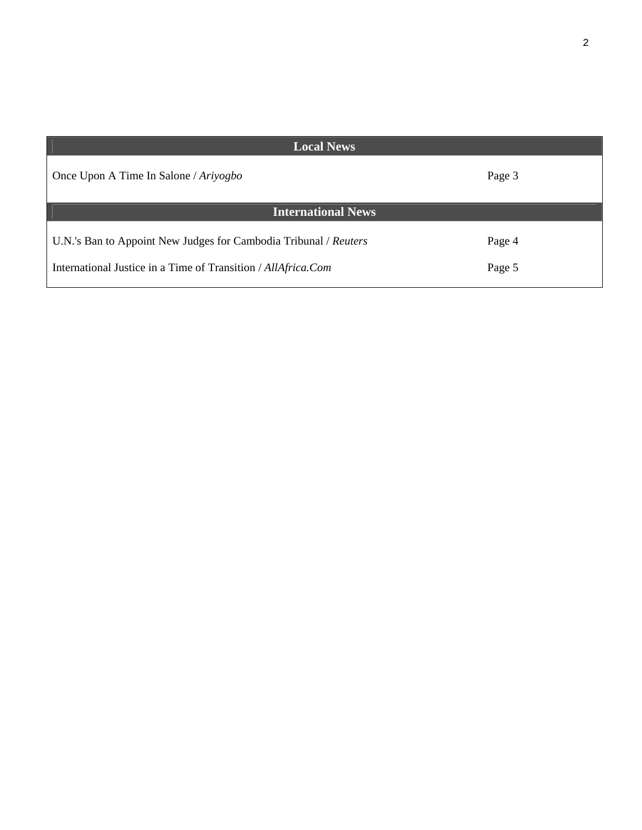| <b>Local News</b>                                                                                                                 |                  |
|-----------------------------------------------------------------------------------------------------------------------------------|------------------|
| Once Upon A Time In Salone / Ariyogbo                                                                                             | Page 3           |
| <b>International News</b>                                                                                                         |                  |
| U.N.'s Ban to Appoint New Judges for Cambodia Tribunal / Reuters<br>International Justice in a Time of Transition / AllAfrica.Com | Page 4<br>Page 5 |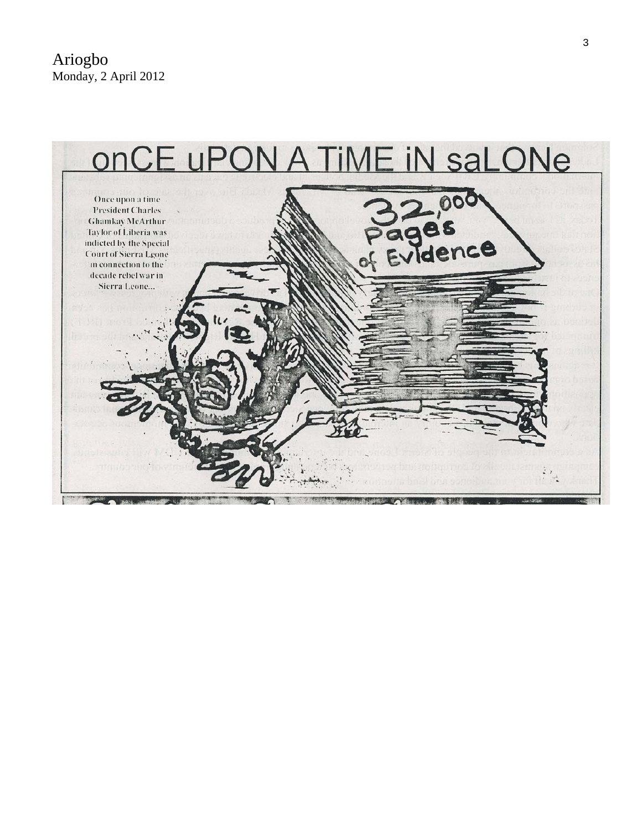Ariogbo Monday, 2 April 2012

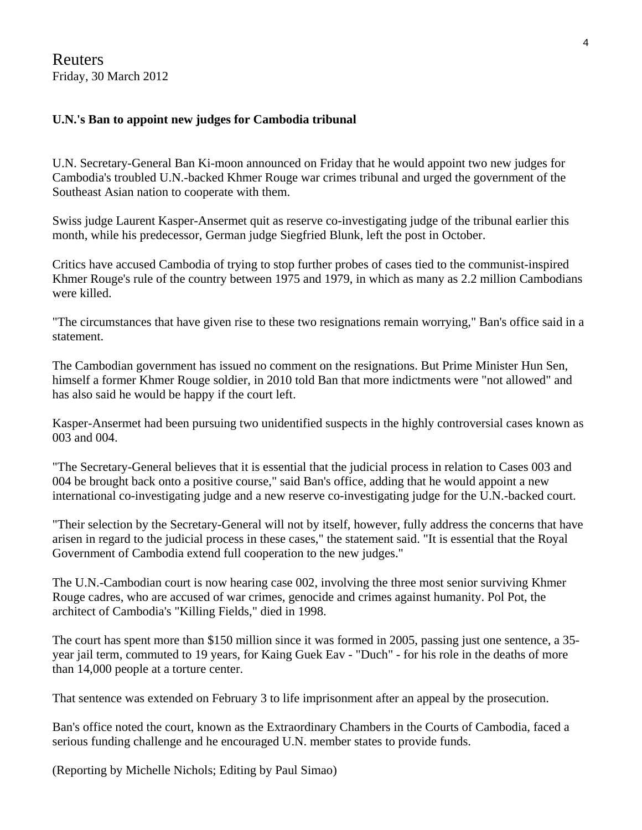Reuters Friday, 30 March 2012

## **U.N.'s Ban to appoint new judges for Cambodia tribunal**

U.N. Secretary-General Ban Ki-moon announced on Friday that he would appoint two new judges for Cambodia's troubled U.N.-backed Khmer Rouge war crimes tribunal and urged the government of the Southeast Asian nation to cooperate with them.

Swiss judge Laurent Kasper-Ansermet quit as reserve co-investigating judge of the tribunal earlier this month, while his predecessor, German judge Siegfried Blunk, left the post in October.

Critics have accused Cambodia of trying to stop further probes of cases tied to the communist-inspired Khmer Rouge's rule of the country between 1975 and 1979, in which as many as 2.2 million Cambodians were killed.

"The circumstances that have given rise to these two resignations remain worrying," Ban's office said in a statement.

The Cambodian government has issued no comment on the resignations. But Prime Minister Hun Sen, himself a former Khmer Rouge soldier, in 2010 told Ban that more indictments were "not allowed" and has also said he would be happy if the court left.

Kasper-Ansermet had been pursuing two unidentified suspects in the highly controversial cases known as 003 and 004.

"The Secretary-General believes that it is essential that the judicial process in relation to Cases 003 and 004 be brought back onto a positive course," said Ban's office, adding that he would appoint a new international co-investigating judge and a new reserve co-investigating judge for the U.N.-backed court.

"Their selection by the Secretary-General will not by itself, however, fully address the concerns that have arisen in regard to the judicial process in these cases," the statement said. "It is essential that the Royal Government of Cambodia extend full cooperation to the new judges."

The U.N.-Cambodian court is now hearing case 002, involving the three most senior surviving Khmer Rouge cadres, who are accused of war crimes, genocide and crimes against humanity. Pol Pot, the architect of Cambodia's "Killing Fields," died in 1998.

The court has spent more than \$150 million since it was formed in 2005, passing just one sentence, a 35 year jail term, commuted to 19 years, for Kaing Guek Eav - "Duch" - for his role in the deaths of more than 14,000 people at a torture center.

That sentence was extended on February 3 to life imprisonment after an appeal by the prosecution.

Ban's office noted the court, known as the Extraordinary Chambers in the Courts of Cambodia, faced a serious funding challenge and he encouraged U.N. member states to provide funds.

(Reporting by Michelle Nichols; Editing by Paul Simao)